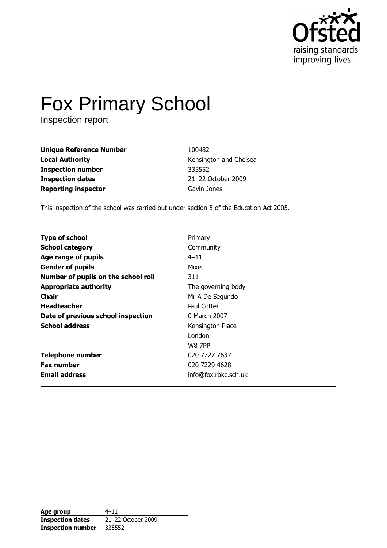

# **Fox Primary School**

Inspection report

**Unique Reference Number Local Authority Inspection number Inspection dates Reporting inspector** 

100482 Kensington and Chelsea 335552 21-22 October 2009 Gavin Jones

This inspection of the school was carried out under section 5 of the Education Act 2005.

| <b>Type of school</b>               | Primary              |
|-------------------------------------|----------------------|
| <b>School category</b>              | Community            |
| Age range of pupils                 | $4 - 11$             |
| <b>Gender of pupils</b>             | Mixed                |
| Number of pupils on the school roll | 311                  |
| <b>Appropriate authority</b>        | The governing body   |
| <b>Chair</b>                        | Mr A De Segundo      |
| <b>Headteacher</b>                  | Paul Cotter          |
| Date of previous school inspection  | 0 March 2007         |
| <b>School address</b>               | Kensington Place     |
|                                     | London               |
|                                     | <b>W8 7PP</b>        |
| <b>Telephone number</b>             | 020 7727 7637        |
| <b>Fax number</b>                   | 020 7229 4628        |
| <b>Email address</b>                | info@fox.rbkc.sch.uk |

| Age group                | $4 - 11$           |
|--------------------------|--------------------|
| <b>Inspection dates</b>  | 21-22 October 2009 |
| <b>Inspection number</b> | 335552             |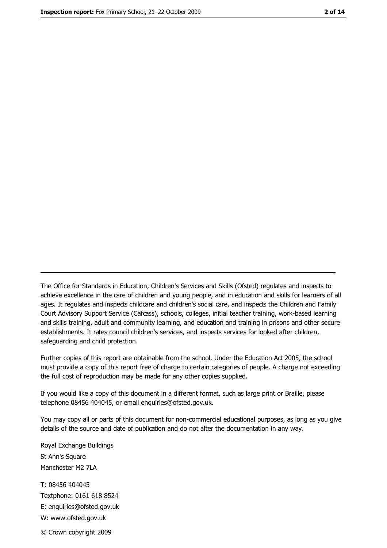The Office for Standards in Education, Children's Services and Skills (Ofsted) regulates and inspects to achieve excellence in the care of children and young people, and in education and skills for learners of all ages. It regulates and inspects childcare and children's social care, and inspects the Children and Family Court Advisory Support Service (Cafcass), schools, colleges, initial teacher training, work-based learning and skills training, adult and community learning, and education and training in prisons and other secure establishments. It rates council children's services, and inspects services for looked after children, safequarding and child protection.

Further copies of this report are obtainable from the school. Under the Education Act 2005, the school must provide a copy of this report free of charge to certain categories of people. A charge not exceeding the full cost of reproduction may be made for any other copies supplied.

If you would like a copy of this document in a different format, such as large print or Braille, please telephone 08456 404045, or email enquiries@ofsted.gov.uk.

You may copy all or parts of this document for non-commercial educational purposes, as long as you give details of the source and date of publication and do not alter the documentation in any way.

Royal Exchange Buildings St Ann's Square Manchester M2 7LA T: 08456 404045 Textphone: 0161 618 8524 E: enquiries@ofsted.gov.uk W: www.ofsted.gov.uk © Crown copyright 2009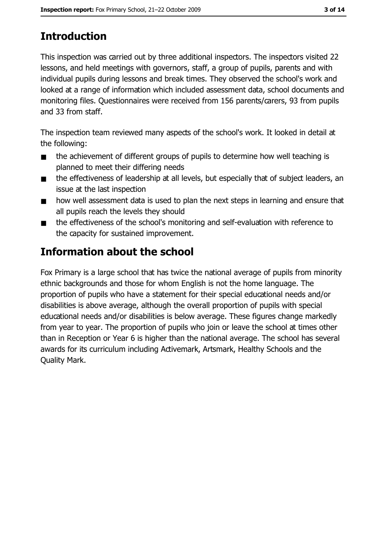# **Introduction**

This inspection was carried out by three additional inspectors. The inspectors visited 22 lessons, and held meetings with governors, staff, a group of pupils, parents and with individual pupils during lessons and break times. They observed the school's work and looked at a range of information which included assessment data, school documents and monitoring files. Questionnaires were received from 156 parents/carers, 93 from pupils and 33 from staff.

The inspection team reviewed many aspects of the school's work. It looked in detail at the following:

- the achievement of different groups of pupils to determine how well teaching is  $\blacksquare$ planned to meet their differing needs
- the effectiveness of leadership at all levels, but especially that of subject leaders, an  $\blacksquare$ issue at the last inspection
- how well assessment data is used to plan the next steps in learning and ensure that  $\blacksquare$ all pupils reach the levels they should
- the effectiveness of the school's monitoring and self-evaluation with reference to  $\blacksquare$ the capacity for sustained improvement.

# Information about the school

Fox Primary is a large school that has twice the national average of pupils from minority ethnic backgrounds and those for whom English is not the home language. The proportion of pupils who have a statement for their special educational needs and/or disabilities is above average, although the overall proportion of pupils with special educational needs and/or disabilities is below average. These figures change markedly from year to year. The proportion of pupils who join or leave the school at times other than in Reception or Year 6 is higher than the national average. The school has several awards for its curriculum including Activemark, Artsmark, Healthy Schools and the Quality Mark.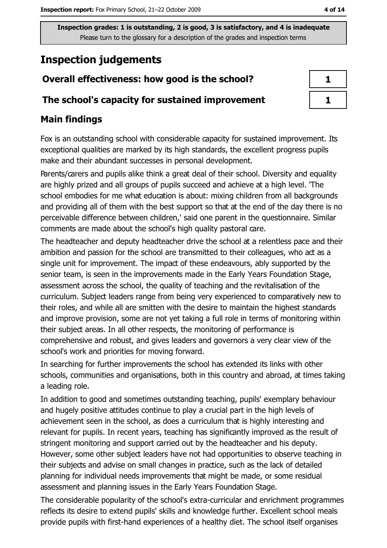# **Inspection judgements**

# Overall effectiveness: how good is the school?

## The school's capacity for sustained improvement

## **Main findings**

Fox is an outstanding school with considerable capacity for sustained improvement. Its exceptional qualities are marked by its high standards, the excellent progress pupils make and their abundant successes in personal development.

Parents/carers and pupils alike think a great deal of their school. Diversity and equality are highly prized and all groups of pupils succeed and achieve at a high level. 'The school embodies for me what education is about: mixing children from all backgrounds and providing all of them with the best support so that at the end of the day there is no perceivable difference between children,' said one parent in the questionnaire. Similar comments are made about the school's high quality pastoral care.

The headteacher and deputy headteacher drive the school at a relentless pace and their ambition and passion for the school are transmitted to their colleagues, who act as a single unit for improvement. The impact of these endeavours, ably supported by the senior team, is seen in the improvements made in the Early Years Foundation Stage, assessment across the school, the quality of teaching and the revitalisation of the curriculum. Subject leaders range from being very experienced to comparatively new to their roles, and while all are smitten with the desire to maintain the highest standards and improve provision, some are not yet taking a full role in terms of monitoring within their subject areas. In all other respects, the monitoring of performance is comprehensive and robust, and gives leaders and governors a very clear view of the school's work and priorities for moving forward.

In searching for further improvements the school has extended its links with other schools, communities and organisations, both in this country and abroad, at times taking a leading role.

In addition to good and sometimes outstanding teaching, pupils' exemplary behaviour and hugely positive attitudes continue to play a crucial part in the high levels of achievement seen in the school, as does a curriculum that is highly interesting and relevant for pupils. In recent years, teaching has significantly improved as the result of stringent monitoring and support carried out by the headteacher and his deputy. However, some other subject leaders have not had opportunities to observe teaching in their subjects and advise on small changes in practice, such as the lack of detailed planning for individual needs improvements that might be made, or some residual assessment and planning issues in the Early Years Foundation Stage.

The considerable popularity of the school's extra-curricular and enrichment programmes reflects its desire to extend pupils' skills and knowledge further. Excellent school meals provide pupils with first-hand experiences of a healthy diet. The school itself organises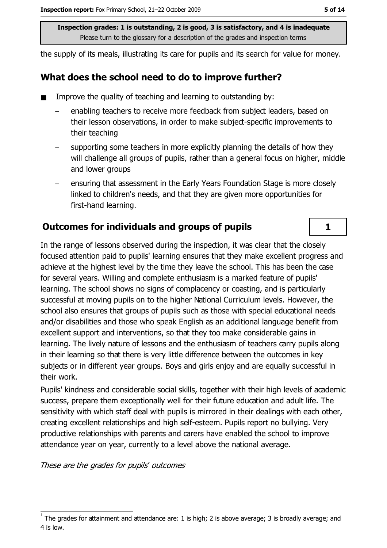the supply of its meals, illustrating its care for pupils and its search for value for money.

#### What does the school need to do to improve further?

- Improve the quality of teaching and learning to outstanding by:
	- enabling teachers to receive more feedback from subject leaders, based on their lesson observations, in order to make subject-specific improvements to their teaching
	- supporting some teachers in more explicitly planning the details of how they will challenge all groups of pupils, rather than a general focus on higher, middle and lower groups
	- ensuring that assessment in the Early Years Foundation Stage is more closely linked to children's needs, and that they are given more opportunities for first-hand learning.

## Outcomes for individuals and groups of pupils

In the range of lessons observed during the inspection, it was clear that the closely focused attention paid to pupils' learning ensures that they make excellent progress and achieve at the highest level by the time they leave the school. This has been the case for several years. Willing and complete enthusiasm is a marked feature of pupils' learning. The school shows no signs of complacency or coasting, and is particularly successful at moving pupils on to the higher National Curriculum levels. However, the school also ensures that groups of pupils such as those with special educational needs and/or disabilities and those who speak English as an additional language benefit from excellent support and interventions, so that they too make considerable gains in learning. The lively nature of lessons and the enthusiasm of teachers carry pupils along in their learning so that there is very little difference between the outcomes in key subjects or in different year groups. Boys and girls enjoy and are equally successful in their work.

Pupils' kindness and considerable social skills, together with their high levels of academic success, prepare them exceptionally well for their future education and adult life. The sensitivity with which staff deal with pupils is mirrored in their dealings with each other, creating excellent relationships and high self-esteem. Pupils report no bullying. Very productive relationships with parents and carers have enabled the school to improve attendance year on year, currently to a level above the national average.

These are the grades for pupils' outcomes

 $\mathbf{1}$ 

The grades for attainment and attendance are: 1 is high; 2 is above average; 3 is broadly average; and 4 is low.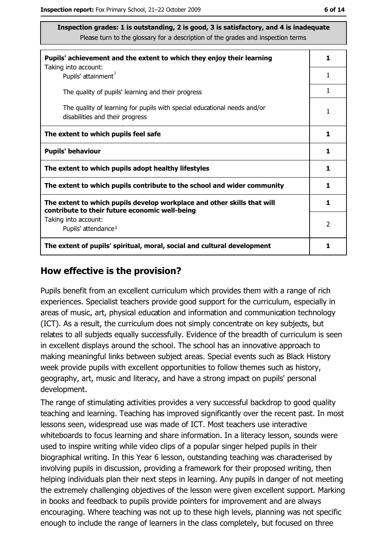| Pupils' achievement and the extent to which they enjoy their learning                                                     |   |  |
|---------------------------------------------------------------------------------------------------------------------------|---|--|
| Taking into account:<br>Pupils' attainment <sup>1</sup>                                                                   | 1 |  |
| The quality of pupils' learning and their progress                                                                        | 1 |  |
| The quality of learning for pupils with special educational needs and/or<br>disabilities and their progress               | 1 |  |
| The extent to which pupils feel safe                                                                                      | 1 |  |
| <b>Pupils' behaviour</b>                                                                                                  | 1 |  |
| The extent to which pupils adopt healthy lifestyles                                                                       | 1 |  |
| The extent to which pupils contribute to the school and wider community                                                   |   |  |
| The extent to which pupils develop workplace and other skills that will<br>contribute to their future economic well-being | 1 |  |
| Taking into account:<br>Pupils' attendance <sup>1</sup>                                                                   | 2 |  |
| The extent of pupils' spiritual, moral, social and cultural development                                                   | 1 |  |

#### How effective is the provision?

Pupils benefit from an excellent curriculum which provides them with a range of rich experiences. Specialist teachers provide good support for the curriculum, especially in areas of music, art, physical education and information and communication technology (ICT). As a result, the curriculum does not simply concentrate on key subjects, but relates to all subjects equally successfully. Evidence of the breadth of curriculum is seen in excellent displays around the school. The school has an innovative approach to making meaningful links between subject areas. Special events such as Black History week provide pupils with excellent opportunities to follow themes such as history, geography, art, music and literacy, and have a strong impact on pupils' personal development.

The range of stimulating activities provides a very successful backdrop to good quality teaching and learning. Teaching has improved significantly over the recent past. In most lessons seen, widespread use was made of ICT. Most teachers use interactive whiteboards to focus learning and share information. In a literacy lesson, sounds were used to inspire writing while video clips of a popular singer helped pupils in their biographical writing. In this Year 6 lesson, outstanding teaching was characterised by involving pupils in discussion, providing a framework for their proposed writing, then helping individuals plan their next steps in learning. Any pupils in danger of not meeting the extremely challenging objectives of the lesson were given excellent support. Marking in books and feedback to pupils provide pointers for improvement and are always encouraging. Where teaching was not up to these high levels, planning was not specific enough to include the range of learners in the class completely, but focused on three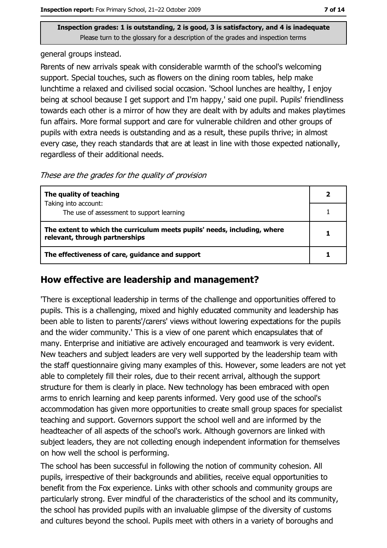general groups instead.

Parents of new arrivals speak with considerable warmth of the school's welcoming support. Special touches, such as flowers on the dining room tables, help make lunchtime a relaxed and civilised social occasion. 'School lunches are healthy, I enjoy being at school because I get support and I'm happy,' said one pupil. Pupils' friendliness towards each other is a mirror of how they are dealt with by adults and makes playtimes fun affairs. More formal support and care for vulnerable children and other groups of pupils with extra needs is outstanding and as a result, these pupils thrive; in almost every case, they reach standards that are at least in line with those expected nationally, regardless of their additional needs.

These are the grades for the quality of provision

| The quality of teaching                                                                                    | $\overline{\mathbf{2}}$ |
|------------------------------------------------------------------------------------------------------------|-------------------------|
| Taking into account:                                                                                       |                         |
| The use of assessment to support learning                                                                  |                         |
| The extent to which the curriculum meets pupils' needs, including, where<br>relevant, through partnerships |                         |
| The effectiveness of care, guidance and support                                                            |                         |

#### How effective are leadership and management?

'There is exceptional leadership in terms of the challenge and opportunities offered to pupils. This is a challenging, mixed and highly educated community and leadership has been able to listen to parents'/carers' views without lowering expectations for the pupils and the wider community.' This is a view of one parent which encapsulates that of many. Enterprise and initiative are actively encouraged and teamwork is very evident. New teachers and subject leaders are very well supported by the leadership team with the staff questionnaire giving many examples of this. However, some leaders are not yet able to completely fill their roles, due to their recent arrival, although the support structure for them is clearly in place. New technology has been embraced with open arms to enrich learning and keep parents informed. Very good use of the school's accommodation has given more opportunities to create small group spaces for specialist teaching and support. Governors support the school well and are informed by the headteacher of all aspects of the school's work. Although governors are linked with subject leaders, they are not collecting enough independent information for themselves on how well the school is performing.

The school has been successful in following the notion of community cohesion. All pupils, irrespective of their backgrounds and abilities, receive equal opportunities to benefit from the Fox experience. Links with other schools and community groups are particularly strong. Ever mindful of the characteristics of the school and its community, the school has provided pupils with an invaluable glimpse of the diversity of customs and cultures beyond the school. Pupils meet with others in a variety of boroughs and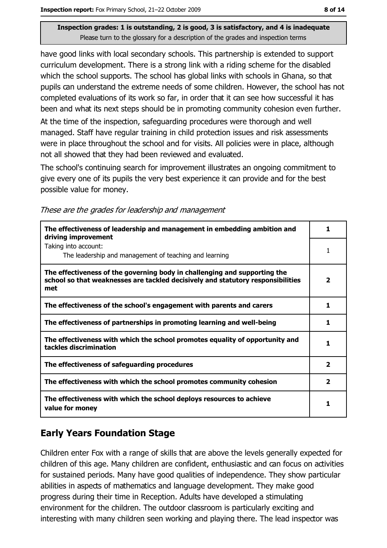have good links with local secondary schools. This partnership is extended to support curriculum development. There is a strong link with a riding scheme for the disabled which the school supports. The school has global links with schools in Ghana, so that pupils can understand the extreme needs of some children. However, the school has not completed evaluations of its work so far, in order that it can see how successful it has been and what its next steps should be in promoting community cohesion even further. At the time of the inspection, safeguarding procedures were thorough and well

managed. Staff have regular training in child protection issues and risk assessments were in place throughout the school and for visits. All policies were in place, although not all showed that they had been reviewed and evaluated.

The school's continuing search for improvement illustrates an ongoing commitment to give every one of its pupils the very best experience it can provide and for the best possible value for money.

|  |  | These are the grades for leadership and management |
|--|--|----------------------------------------------------|
|  |  |                                                    |
|  |  |                                                    |
|  |  |                                                    |

| The effectiveness of leadership and management in embedding ambition and<br>driving improvement                                                                     | 1                       |
|---------------------------------------------------------------------------------------------------------------------------------------------------------------------|-------------------------|
| Taking into account:<br>The leadership and management of teaching and learning                                                                                      |                         |
| The effectiveness of the governing body in challenging and supporting the<br>school so that weaknesses are tackled decisively and statutory responsibilities<br>met | $\overline{\mathbf{2}}$ |
| The effectiveness of the school's engagement with parents and carers                                                                                                |                         |
| The effectiveness of partnerships in promoting learning and well-being                                                                                              |                         |
| The effectiveness with which the school promotes equality of opportunity and<br>tackles discrimination                                                              |                         |
| The effectiveness of safeguarding procedures                                                                                                                        | $\mathbf{2}$            |
| The effectiveness with which the school promotes community cohesion                                                                                                 | $\mathbf{2}$            |
| The effectiveness with which the school deploys resources to achieve<br>value for money                                                                             | 1                       |

## **Early Years Foundation Stage**

Children enter Fox with a range of skills that are above the levels generally expected for children of this age. Many children are confident, enthusiastic and can focus on activities for sustained periods. Many have good qualities of independence. They show particular abilities in aspects of mathematics and language development. They make good progress during their time in Reception. Adults have developed a stimulating environment for the children. The outdoor classroom is particularly exciting and interesting with many children seen working and playing there. The lead inspector was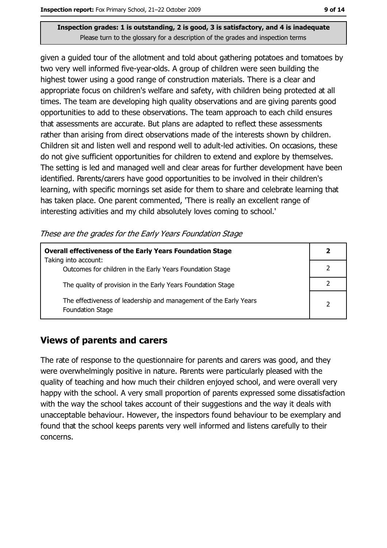given a guided tour of the allotment and told about gathering potatoes and tomatoes by two very well informed five-year-olds. A group of children were seen building the highest tower using a good range of construction materials. There is a clear and appropriate focus on children's welfare and safety, with children being protected at all times. The team are developing high quality observations and are giving parents good opportunities to add to these observations. The team approach to each child ensures that assessments are accurate. But plans are adapted to reflect these assessments rather than arising from direct observations made of the interests shown by children. Children sit and listen well and respond well to adult-led activities. On occasions, these do not give sufficient opportunities for children to extend and explore by themselves. The setting is led and managed well and clear areas for further development have been identified. Parents/carers have good opportunities to be involved in their children's learning, with specific mornings set aside for them to share and celebrate learning that has taken place. One parent commented, 'There is really an excellent range of interesting activities and my child absolutely loves coming to school."

|  | These are the grades for the Early Years Foundation Stage |  |
|--|-----------------------------------------------------------|--|
|  |                                                           |  |

| <b>Overall effectiveness of the Early Years Foundation Stage</b><br>Taking into account:     | 2 |
|----------------------------------------------------------------------------------------------|---|
| Outcomes for children in the Early Years Foundation Stage                                    |   |
| The quality of provision in the Early Years Foundation Stage                                 |   |
| The effectiveness of leadership and management of the Early Years<br><b>Foundation Stage</b> | っ |

## **Views of parents and carers**

The rate of response to the questionnaire for parents and carers was good, and they were overwhelmingly positive in nature. Parents were particularly pleased with the quality of teaching and how much their children enjoyed school, and were overall very happy with the school. A very small proportion of parents expressed some dissatisfaction with the way the school takes account of their suggestions and the way it deals with unacceptable behaviour. However, the inspectors found behaviour to be exemplary and found that the school keeps parents very well informed and listens carefully to their concerns.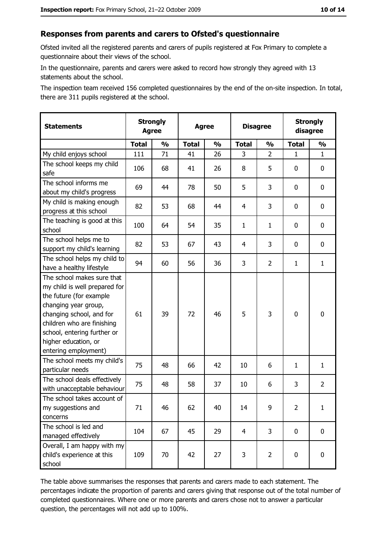#### Responses from parents and carers to Ofsted's questionnaire

Ofsted invited all the registered parents and carers of pupils registered at Fox Primary to complete a questionnaire about their views of the school.

In the questionnaire, parents and carers were asked to record how strongly they agreed with 13 statements about the school.

The inspection team received 156 completed questionnaires by the end of the on-site inspection. In total, there are 311 pupils registered at the school.

| <b>Statements</b>                                                                                                                                                                                                                                       | <b>Strongly</b><br><b>Agree</b><br><b>Agree</b> |               | <b>Disagree</b> |               | <b>Strongly</b><br>disagree |                |                |                |
|---------------------------------------------------------------------------------------------------------------------------------------------------------------------------------------------------------------------------------------------------------|-------------------------------------------------|---------------|-----------------|---------------|-----------------------------|----------------|----------------|----------------|
|                                                                                                                                                                                                                                                         | <b>Total</b>                                    | $\frac{1}{2}$ | <b>Total</b>    | $\frac{1}{2}$ | <b>Total</b>                | $\frac{1}{2}$  | <b>Total</b>   | $\frac{1}{2}$  |
| My child enjoys school                                                                                                                                                                                                                                  | 111                                             | 71            | 41              | 26            | 3                           | $\overline{2}$ | $\mathbf{1}$   | $\mathbf{1}$   |
| The school keeps my child<br>safe                                                                                                                                                                                                                       | 106                                             | 68            | 41              | 26            | 8                           | 5              | 0              | 0              |
| The school informs me<br>about my child's progress                                                                                                                                                                                                      | 69                                              | 44            | 78              | 50            | 5                           | 3              | 0              | $\mathbf 0$    |
| My child is making enough<br>progress at this school                                                                                                                                                                                                    | 82                                              | 53            | 68              | 44            | 4                           | 3              | 0              | 0              |
| The teaching is good at this<br>school                                                                                                                                                                                                                  | 100                                             | 64            | 54              | 35            | $\mathbf{1}$                | $\mathbf{1}$   | 0              | 0              |
| The school helps me to<br>support my child's learning                                                                                                                                                                                                   | 82                                              | 53            | 67              | 43            | $\overline{4}$              | 3              | 0              | 0              |
| The school helps my child to<br>have a healthy lifestyle                                                                                                                                                                                                | 94                                              | 60            | 56              | 36            | 3                           | $\overline{2}$ | 1              | $\mathbf{1}$   |
| The school makes sure that<br>my child is well prepared for<br>the future (for example<br>changing year group,<br>changing school, and for<br>children who are finishing<br>school, entering further or<br>higher education, or<br>entering employment) | 61                                              | 39            | 72              | 46            | 5                           | 3              | $\mathbf 0$    | $\mathbf 0$    |
| The school meets my child's<br>particular needs                                                                                                                                                                                                         | 75                                              | 48            | 66              | 42            | 10                          | 6              | 1              | $\mathbf 1$    |
| The school deals effectively<br>with unacceptable behaviour                                                                                                                                                                                             | 75                                              | 48            | 58              | 37            | 10                          | 6              | 3              | $\overline{2}$ |
| The school takes account of<br>my suggestions and<br>concerns                                                                                                                                                                                           | 71                                              | 46            | 62              | 40            | 14                          | 9              | $\overline{2}$ | $\mathbf{1}$   |
| The school is led and<br>managed effectively                                                                                                                                                                                                            | 104                                             | 67            | 45              | 29            | 4                           | 3              | $\bf{0}$       | $\mathbf 0$    |
| Overall, I am happy with my<br>child's experience at this<br>school                                                                                                                                                                                     | 109                                             | 70            | 42              | 27            | 3                           | $\overline{2}$ | $\mathbf 0$    | $\mathbf 0$    |

The table above summarises the responses that parents and carers made to each statement. The percentages indicate the proportion of parents and carers giving that response out of the total number of completed questionnaires. Where one or more parents and carers chose not to answer a particular question, the percentages will not add up to 100%.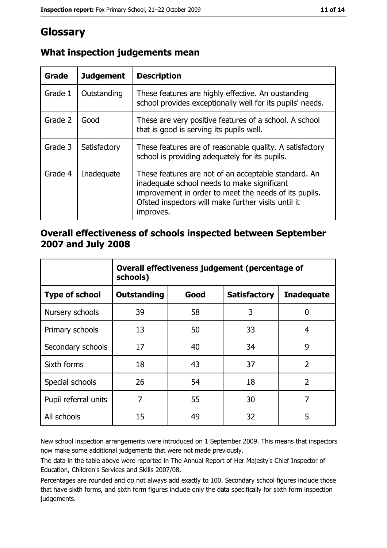# Glossary

| Grade   | <b>Judgement</b> | <b>Description</b>                                                                                                                                                                                                               |
|---------|------------------|----------------------------------------------------------------------------------------------------------------------------------------------------------------------------------------------------------------------------------|
| Grade 1 | Outstanding      | These features are highly effective. An oustanding<br>school provides exceptionally well for its pupils' needs.                                                                                                                  |
| Grade 2 | Good             | These are very positive features of a school. A school<br>that is good is serving its pupils well.                                                                                                                               |
| Grade 3 | Satisfactory     | These features are of reasonable quality. A satisfactory<br>school is providing adequately for its pupils.                                                                                                                       |
| Grade 4 | Inadequate       | These features are not of an acceptable standard. An<br>inadequate school needs to make significant<br>improvement in order to meet the needs of its pupils.<br>Ofsted inspectors will make further visits until it<br>improves. |

## What inspection judgements mean

### Overall effectiveness of schools inspected between September 2007 and July 2008

|                       | Overall effectiveness judgement (percentage of<br>schools) |      |                     |                   |
|-----------------------|------------------------------------------------------------|------|---------------------|-------------------|
| <b>Type of school</b> | <b>Outstanding</b>                                         | Good | <b>Satisfactory</b> | <b>Inadequate</b> |
| Nursery schools       | 39                                                         | 58   | 3                   | 0                 |
| Primary schools       | 13                                                         | 50   | 33                  | 4                 |
| Secondary schools     | 17                                                         | 40   | 34                  | 9                 |
| Sixth forms           | 18                                                         | 43   | 37                  | $\overline{2}$    |
| Special schools       | 26                                                         | 54   | 18                  | $\overline{2}$    |
| Pupil referral units  | 7                                                          | 55   | 30                  | 7                 |
| All schools           | 15                                                         | 49   | 32                  | 5                 |

New school inspection arrangements were introduced on 1 September 2009. This means that inspectors now make some additional judgements that were not made previously.

The data in the table above were reported in The Annual Report of Her Majesty's Chief Inspector of Education, Children's Services and Skills 2007/08.

Percentages are rounded and do not always add exactly to 100. Secondary school figures include those that have sixth forms, and sixth form figures include only the data specifically for sixth form inspection judgements.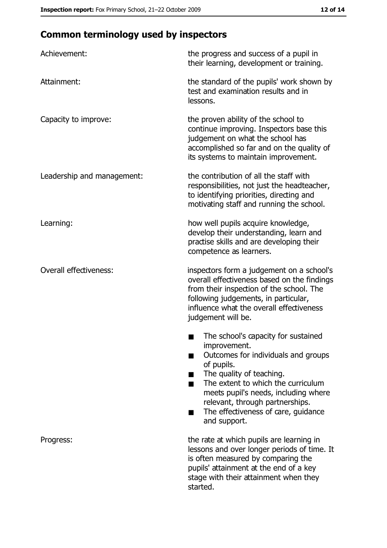# **Common terminology used by inspectors**

| Achievement:                  | the progress and success of a pupil in<br>their learning, development or training.                                                                                                                                                                                                                           |  |  |
|-------------------------------|--------------------------------------------------------------------------------------------------------------------------------------------------------------------------------------------------------------------------------------------------------------------------------------------------------------|--|--|
| Attainment:                   | the standard of the pupils' work shown by<br>test and examination results and in<br>lessons.                                                                                                                                                                                                                 |  |  |
| Capacity to improve:          | the proven ability of the school to<br>continue improving. Inspectors base this<br>judgement on what the school has<br>accomplished so far and on the quality of<br>its systems to maintain improvement.                                                                                                     |  |  |
| Leadership and management:    | the contribution of all the staff with<br>responsibilities, not just the headteacher,<br>to identifying priorities, directing and<br>motivating staff and running the school.                                                                                                                                |  |  |
| Learning:                     | how well pupils acquire knowledge,<br>develop their understanding, learn and<br>practise skills and are developing their<br>competence as learners.                                                                                                                                                          |  |  |
| <b>Overall effectiveness:</b> | inspectors form a judgement on a school's<br>overall effectiveness based on the findings<br>from their inspection of the school. The<br>following judgements, in particular,<br>influence what the overall effectiveness<br>judgement will be.                                                               |  |  |
|                               | The school's capacity for sustained<br>improvement.<br>Outcomes for individuals and groups<br>of pupils.<br>The quality of teaching.<br>The extent to which the curriculum<br>meets pupil's needs, including where<br>relevant, through partnerships.<br>The effectiveness of care, guidance<br>and support. |  |  |
| Progress:                     | the rate at which pupils are learning in<br>lessons and over longer periods of time. It<br>is often measured by comparing the<br>pupils' attainment at the end of a key<br>stage with their attainment when they<br>started.                                                                                 |  |  |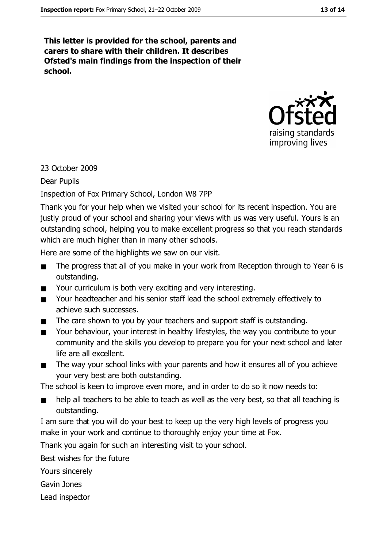This letter is provided for the school, parents and carers to share with their children. It describes Ofsted's main findings from the inspection of their school.



#### 23 October 2009

#### **Dear Pupils**

#### Inspection of Fox Primary School, London W8 7PP

Thank you for your help when we visited your school for its recent inspection. You are justly proud of your school and sharing your views with us was very useful. Yours is an outstanding school, helping you to make excellent progress so that you reach standards which are much higher than in many other schools.

Here are some of the highlights we saw on our visit.

- The progress that all of you make in your work from Reception through to Year 6 is  $\blacksquare$ outstanding.
- $\blacksquare$ Your curriculum is both very exciting and very interesting.
- Your headteacher and his senior staff lead the school extremely effectively to  $\blacksquare$ achieve such successes.
- The care shown to you by your teachers and support staff is outstanding.  $\blacksquare$
- Your behaviour, your interest in healthy lifestyles, the way you contribute to your  $\blacksquare$ community and the skills you develop to prepare you for your next school and later life are all excellent.
- The way your school links with your parents and how it ensures all of you achieve  $\blacksquare$ your very best are both outstanding.

The school is keen to improve even more, and in order to do so it now needs to:

- help all teachers to be able to teach as well as the very best, so that all teaching is  $\blacksquare$ outstanding.
- I am sure that you will do your best to keep up the very high levels of progress you make in your work and continue to thoroughly enjoy your time at Fox.

Thank you again for such an interesting visit to your school.

Best wishes for the future

Yours sincerely

Gavin Jones

Lead inspector